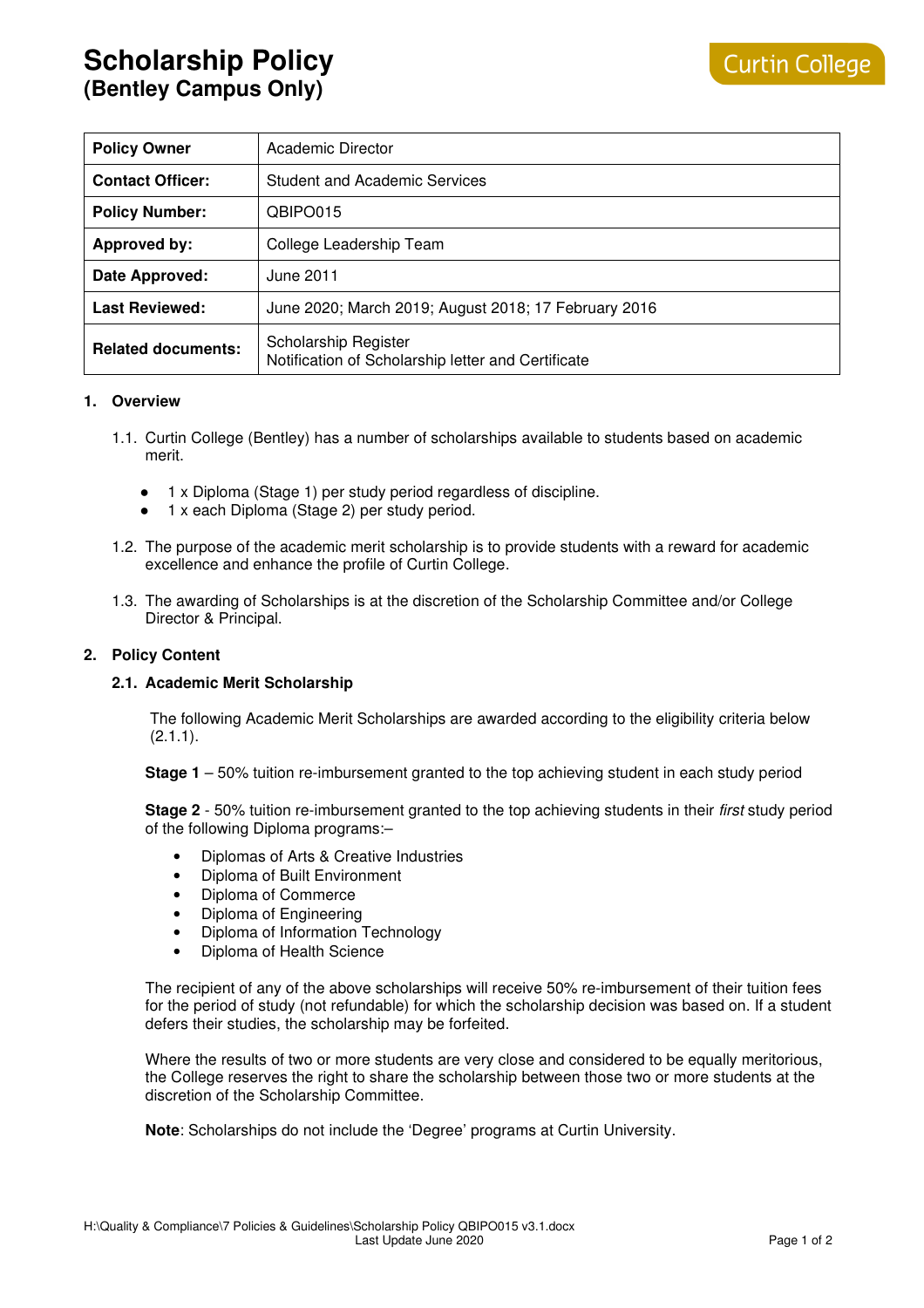| <b>Policy Owner</b>       | Academic Director                                                          |
|---------------------------|----------------------------------------------------------------------------|
| <b>Contact Officer:</b>   | <b>Student and Academic Services</b>                                       |
| <b>Policy Number:</b>     | QBIPO015                                                                   |
| <b>Approved by:</b>       | College Leadership Team                                                    |
| Date Approved:            | June 2011                                                                  |
| <b>Last Reviewed:</b>     | June 2020; March 2019; August 2018; 17 February 2016                       |
| <b>Related documents:</b> | Scholarship Register<br>Notification of Scholarship letter and Certificate |

#### **1. Overview**

- 1.1. Curtin College (Bentley) has a number of scholarships available to students based on academic merit.
	- 1 x Diploma (Stage 1) per study period regardless of discipline.
	- 1 x each Diploma (Stage 2) per study period.
- 1.2. The purpose of the academic merit scholarship is to provide students with a reward for academic excellence and enhance the profile of Curtin College.
- 1.3. The awarding of Scholarships is at the discretion of the Scholarship Committee and/or College Director & Principal.

### **2. Policy Content**

#### **2.1. Academic Merit Scholarship**

The following Academic Merit Scholarships are awarded according to the eligibility criteria below  $(2.1.1)$ .

**Stage 1** – 50% tuition re-imbursement granted to the top achieving student in each study period

**Stage 2** - 50% tuition re-imbursement granted to the top achieving students in their first study period of the following Diploma programs:–

- Diplomas of Arts & Creative Industries
- Diploma of Built Environment
- Diploma of Commerce
- Diploma of Engineering
- Diploma of Information Technology
- Diploma of Health Science

The recipient of any of the above scholarships will receive 50% re-imbursement of their tuition fees for the period of study (not refundable) for which the scholarship decision was based on. If a student defers their studies, the scholarship may be forfeited.

Where the results of two or more students are very close and considered to be equally meritorious, the College reserves the right to share the scholarship between those two or more students at the discretion of the Scholarship Committee.

**Note**: Scholarships do not include the 'Degree' programs at Curtin University.